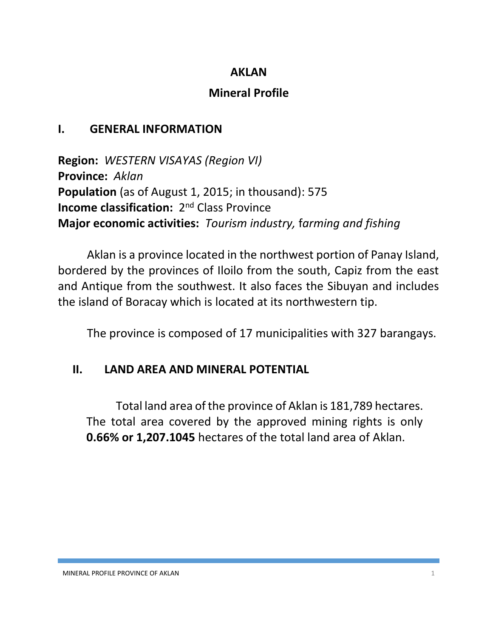#### **AKLAN**

# **Mineral Profile**

# **I. GENERAL INFORMATION**

**Region:** *WESTERN VISAYAS (Region VI)* **Province:** *Aklan* **Population** (as of August 1, 2015; in thousand): 575 **Income classification:** 2<sup>nd</sup> Class Province **Major economic activities:** *Tourism industry,* f*arming and fishing*

Aklan is a province located in the northwest portion of Panay Island, bordered by the provinces of Iloilo from the south, Capiz from the east and Antique from the southwest. It also faces the Sibuyan and includes the island of Boracay which is located at its northwestern tip.

The province is composed of 17 municipalities with 327 barangays.

### **II. LAND AREA AND MINERAL POTENTIAL**

Total land area of the province of Aklan is 181,789 hectares. The total area covered by the approved mining rights is only **0.66% or 1,207.1045** hectares of the total land area of Aklan.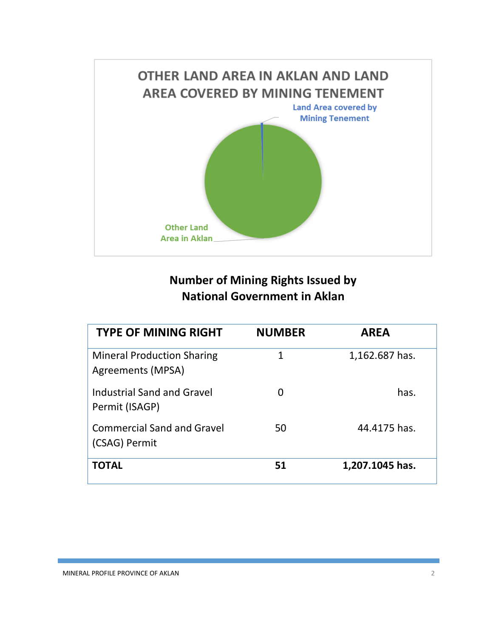

# **Number of Mining Rights Issued by National Government in Aklan**

| <b>TYPE OF MINING RIGHT</b>                            | <b>NUMBER</b> | <b>AREA</b>     |
|--------------------------------------------------------|---------------|-----------------|
| <b>Mineral Production Sharing</b><br>Agreements (MPSA) | 1             | 1,162.687 has.  |
| Industrial Sand and Gravel<br>Permit (ISAGP)           |               | has.            |
| <b>Commercial Sand and Gravel</b><br>(CSAG) Permit     | 50            | 44.4175 has.    |
| <b>TOTAL</b>                                           | 51            | 1,207.1045 has. |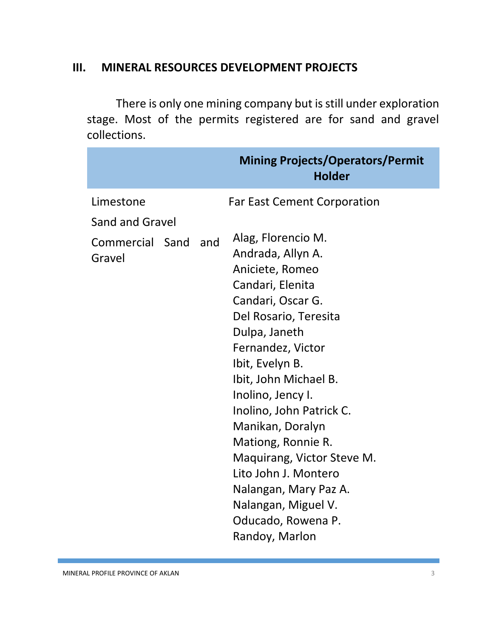#### **III. MINERAL RESOURCES DEVELOPMENT PROJECTS**

There is only one mining company but is still under exploration stage. Most of the permits registered are for sand and gravel collections.

|                                                            | <b>Mining Projects/Operators/Permit</b><br><b>Holder</b>                                                                                                                                                                                                                                                                                                                                                                              |
|------------------------------------------------------------|---------------------------------------------------------------------------------------------------------------------------------------------------------------------------------------------------------------------------------------------------------------------------------------------------------------------------------------------------------------------------------------------------------------------------------------|
| Limestone                                                  | <b>Far East Cement Corporation</b>                                                                                                                                                                                                                                                                                                                                                                                                    |
| <b>Sand and Gravel</b><br>Commercial Sand<br>and<br>Gravel | Alag, Florencio M.<br>Andrada, Allyn A.<br>Aniciete, Romeo<br>Candari, Elenita<br>Candari, Oscar G.<br>Del Rosario, Teresita<br>Dulpa, Janeth<br>Fernandez, Victor<br>Ibit, Evelyn B.<br>Ibit, John Michael B.<br>Inolino, Jency I.<br>Inolino, John Patrick C.<br>Manikan, Doralyn<br>Mationg, Ronnie R.<br>Maquirang, Victor Steve M.<br>Lito John J. Montero<br>Nalangan, Mary Paz A.<br>Nalangan, Miguel V.<br>Oducado, Rowena P. |
|                                                            | Randoy, Marlon                                                                                                                                                                                                                                                                                                                                                                                                                        |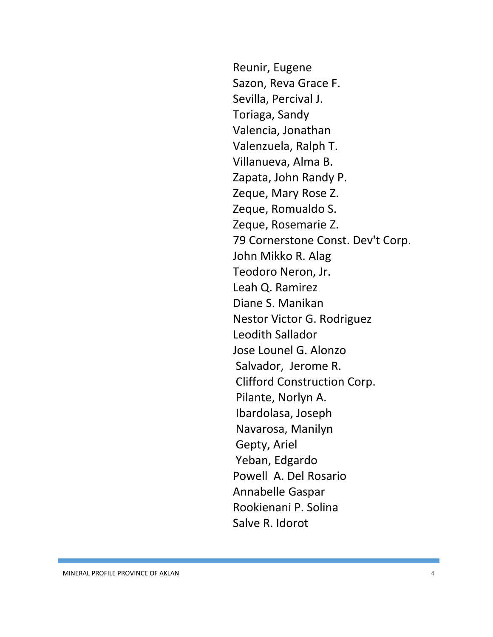Reunir, Eugene Sazon, Reva Grace F. Sevilla, Percival J. Toriaga, Sandy Valencia, Jonathan Valenzuela, Ralph T. Villanueva, Alma B. Zapata, John Randy P. Zeque, Mary Rose Z. Zeque, Romualdo S. Zeque, Rosemarie Z. 79 Cornerstone Const. Dev't Corp. John Mikko R. Alag Teodoro Neron, Jr. Leah Q. Ramirez Diane S. Manikan Nestor Victor G. Rodriguez Leodith Sallador Jose Lounel G. Alonzo Salvador, Jerome R. Clifford Construction Corp. Pilante, Norlyn A. Ibardolasa, Joseph Navarosa, Manilyn Gepty, Ariel Yeban, Edgardo Powell A. Del Rosario Annabelle Gaspar Rookienani P. Solina Salve R. Idorot